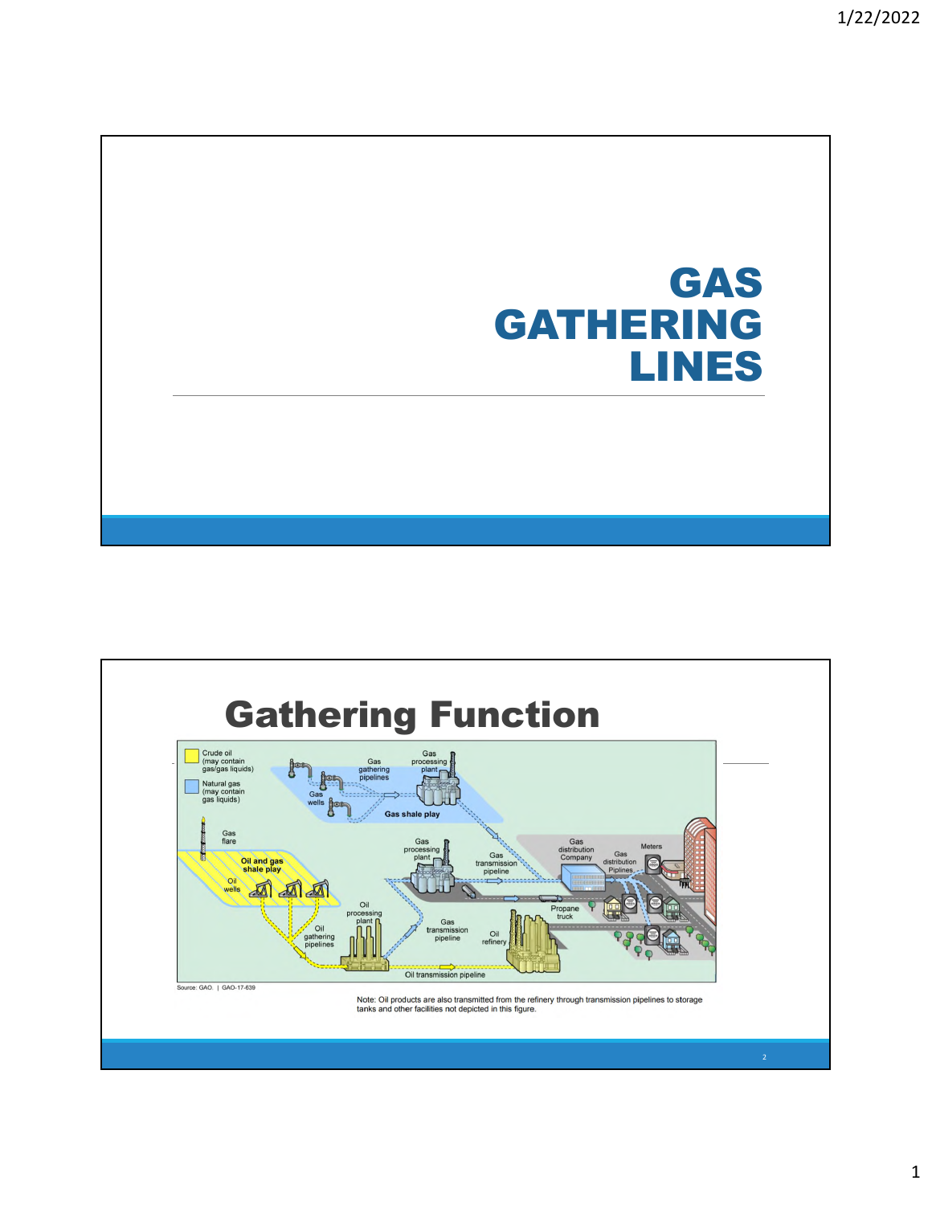# GAS GATHERING LINES

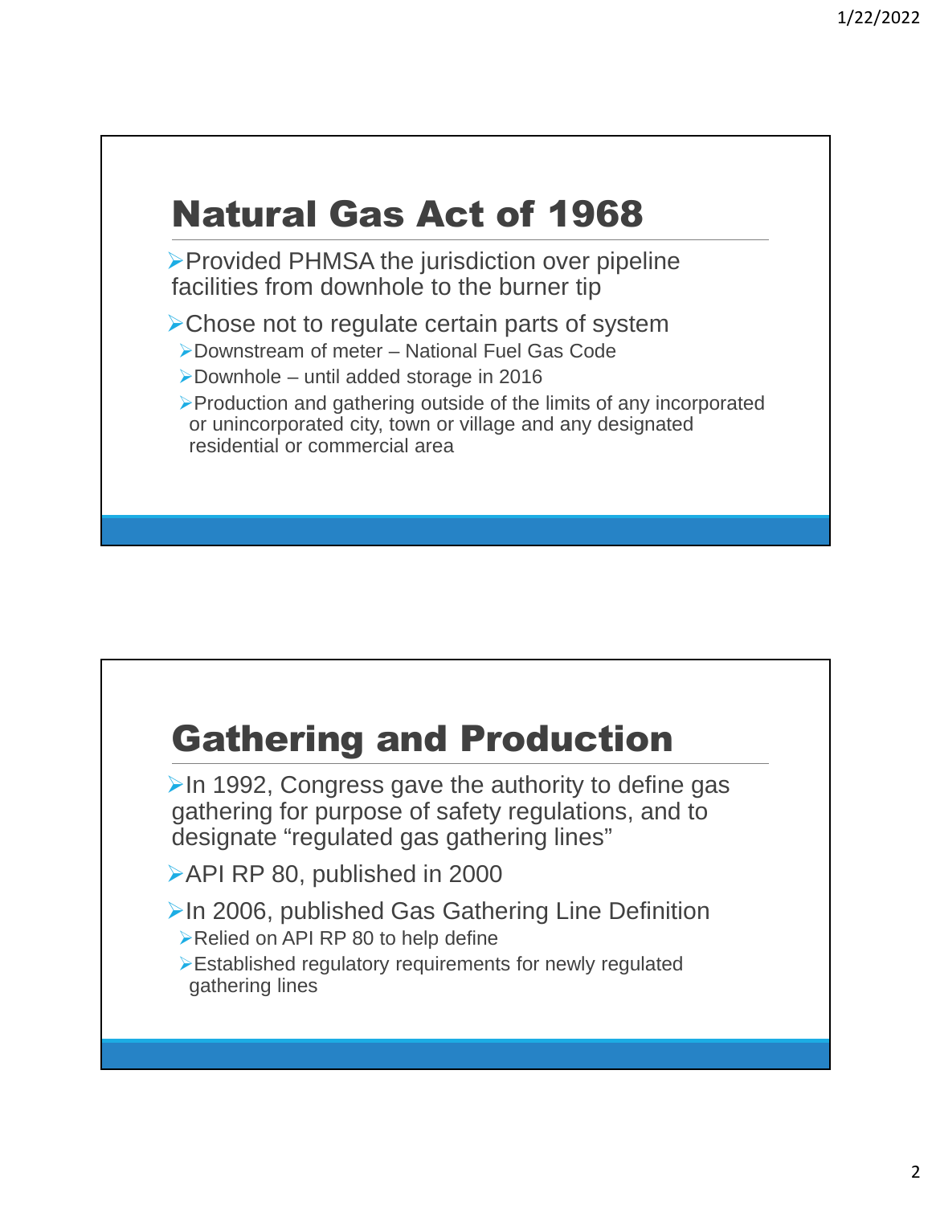# Natural Gas Act of 1968

▶ Provided PHMSA the jurisdiction over pipeline facilities from downhole to the burner tip

**≻Chose not to regulate certain parts of system** 

Downstream of meter – National Fuel Gas Code

Downhole – until added storage in 2016

Production and gathering outside of the limits of any incorporated or unincorporated city, town or village and any designated residential or commercial area

#### Gathering and Production

 $\triangleright$  In 1992, Congress gave the authority to define gas gathering for purpose of safety regulations, and to designate "regulated gas gathering lines"

API RP 80, published in 2000

 $\triangleright$  In 2006, published Gas Gathering Line Definition ▶Relied on API RP 80 to help define

Established regulatory requirements for newly regulated gathering lines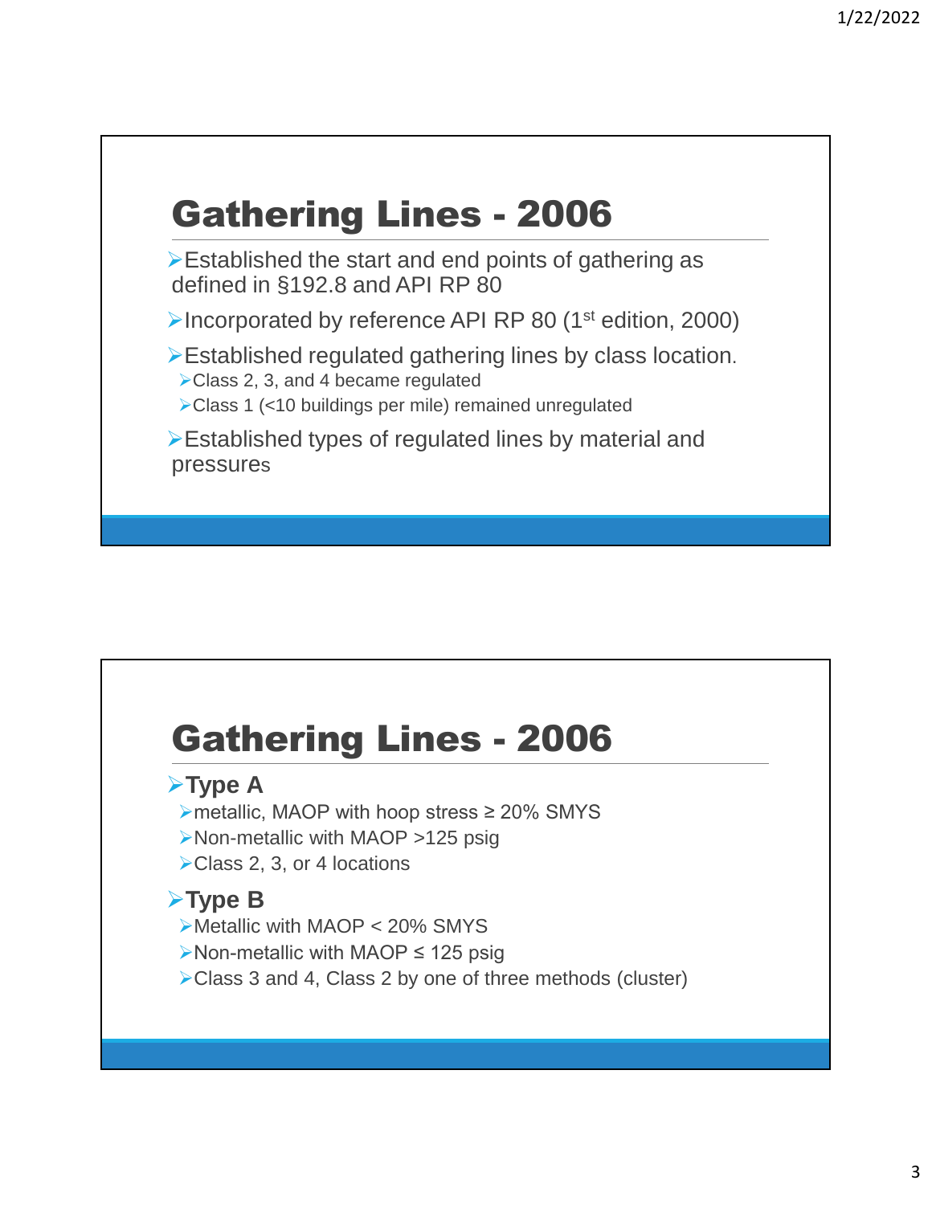# Gathering Lines - 2006

Established the start and end points of gathering as defined in §192.8 and API RP 80

▶Incorporated by reference API RP 80 (1<sup>st</sup> edition, 2000)

Established regulated gathering lines by class location.

▶ Class 2, 3, and 4 became regulated

Class 1 (<10 buildings per mile) remained unregulated

Established types of regulated lines by material and pressures

#### Gathering Lines - 2006

#### **≻Type A**

- metallic, MAOP with hoop stress ≥ 20% SMYS
- Non-metallic with MAOP >125 psig
- ▶ Class 2, 3, or 4 locations

#### **Type B**

- Metallic with MAOP < 20% SMYS
- Non-metallic with MAOP ≤ 125 psig
- ▶ Class 3 and 4, Class 2 by one of three methods (cluster)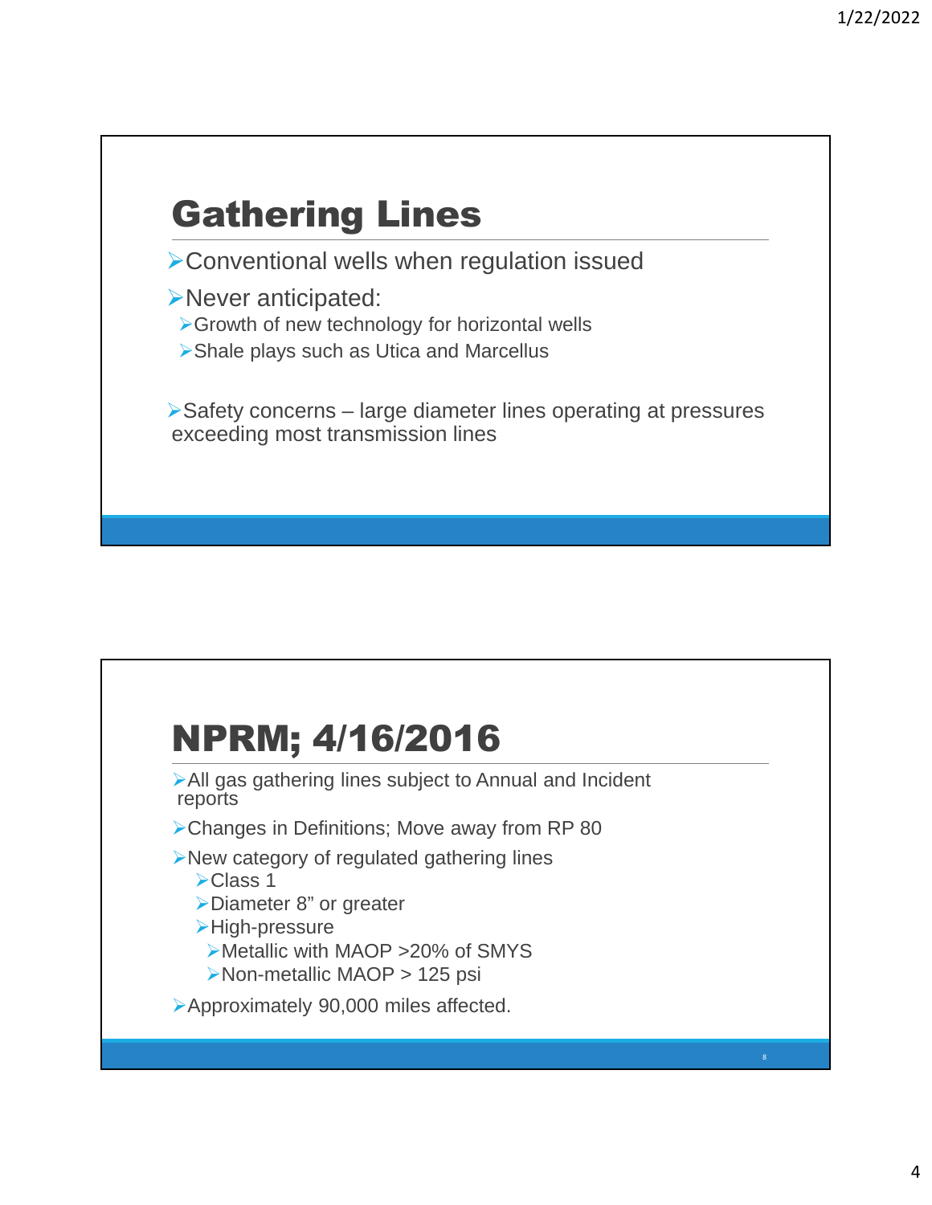# Gathering Lines

Conventional wells when regulation issued

Never anticipated:

Growth of new technology for horizontal wells

Shale plays such as Utica and Marcellus

Safety concerns – large diameter lines operating at pressures exceeding most transmission lines

## NPRM; 4/16/2016

All gas gathering lines subject to Annual and Incident reports

- Changes in Definitions; Move away from RP 80
- New category of regulated gathering lines
	- **≻Class 1**
	- Diameter 8" or greater
	- High-pressure
	- Metallic with MAOP >20% of SMYS
	- ▶Non-metallic MAOP > 125 psi

Approximately 90,000 miles affected.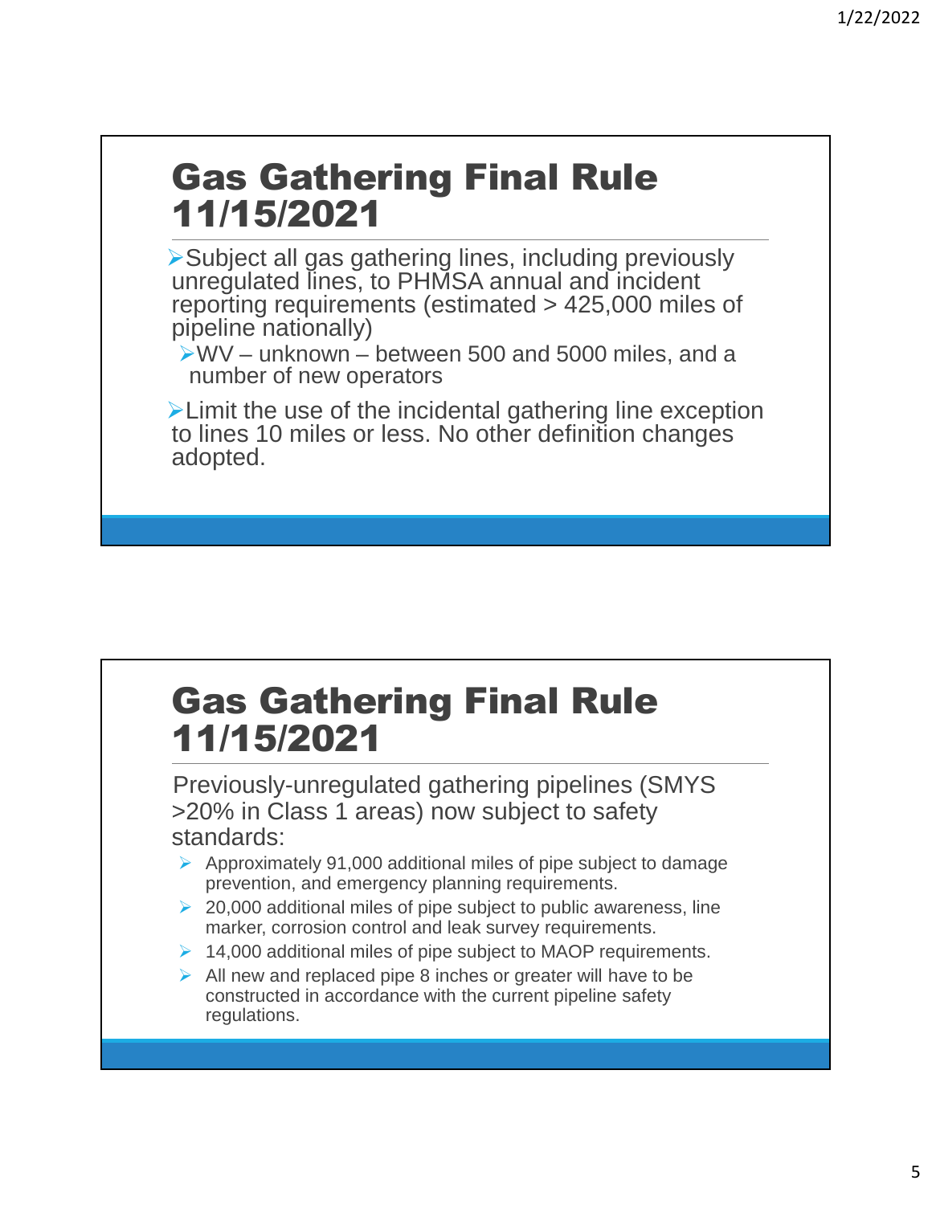#### Gas Gathering Final Rule 11/15/2021

Subject all gas gathering lines, including previously unregulated lines, to PHMSA annual and incident reporting requirements (estimated > 425,000 miles of pipeline nationally)

 $VWV -$  unknown – between 500 and 5000 miles, and a number of new operators

**EXA** Limit the use of the incidental gathering line exception to lines 10 miles or less. No other definition changes adopted.

#### Gas Gathering Final Rule 11/15/2021

Previously-unregulated gathering pipelines (SMYS >20% in Class 1 areas) now subject to safety standards:

- $\triangleright$  Approximately 91,000 additional miles of pipe subject to damage prevention, and emergency planning requirements.
- $\geq$  20,000 additional miles of pipe subject to public awareness, line marker, corrosion control and leak survey requirements.
- $\geq 14,000$  additional miles of pipe subject to MAOP requirements.
- $\triangleright$  All new and replaced pipe 8 inches or greater will have to be constructed in accordance with the current pipeline safety regulations.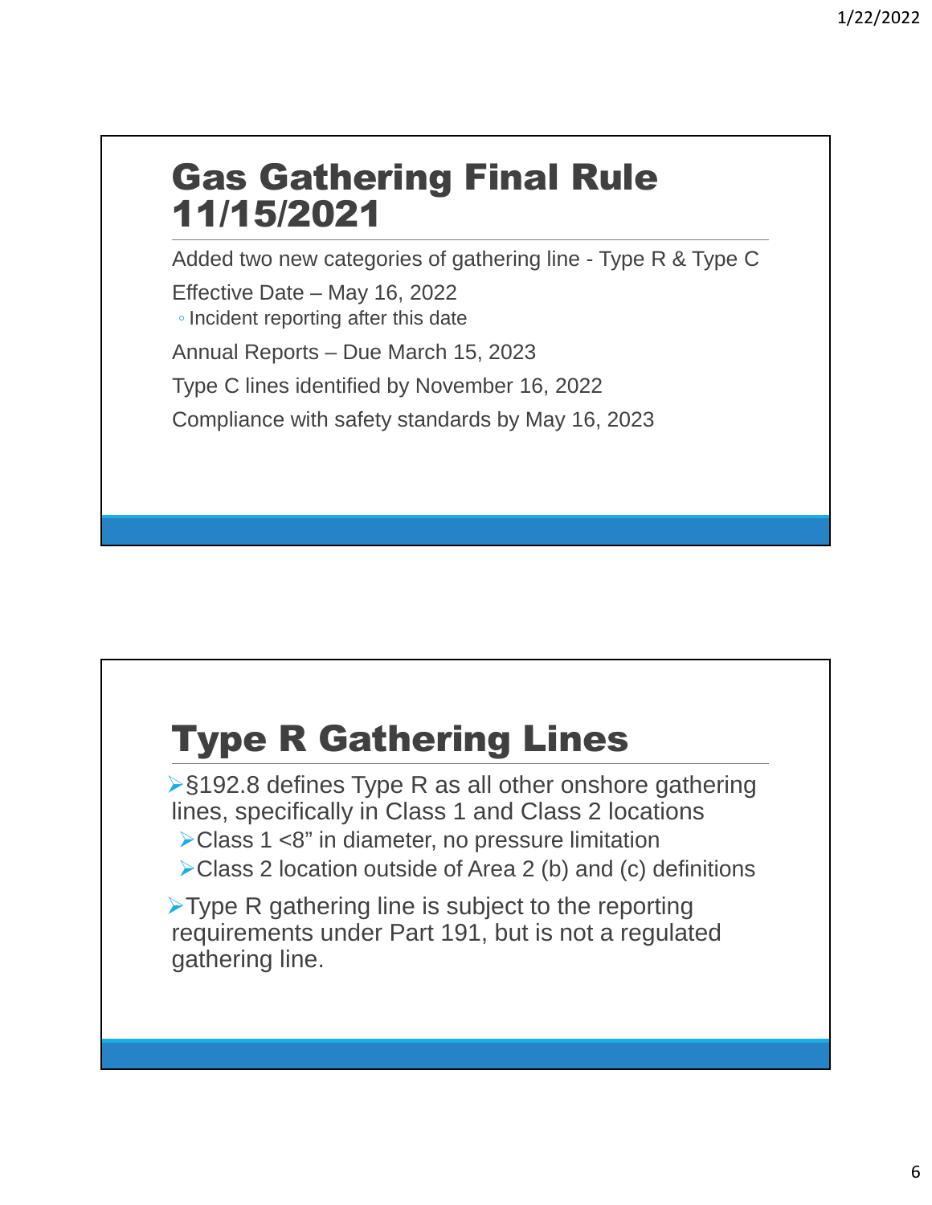#### Gas Gathering Final Rule 11/15/2021

Added two new categories of gathering line - Type R & Type C

Effective Date – May 16, 2022

◦ Incident reporting after this date

Annual Reports – Due March 15, 2023

Type C lines identified by November 16, 2022

Compliance with safety standards by May 16, 2023

## Type R Gathering Lines

§192.8 defines Type R as all other onshore gathering lines, specifically in Class 1 and Class 2 locations Class 1 <8" in diameter, no pressure limitation

Class 2 location outside of Area 2 (b) and (c) definitions

 $\triangleright$  Type R gathering line is subject to the reporting requirements under Part 191, but is not a regulated gathering line.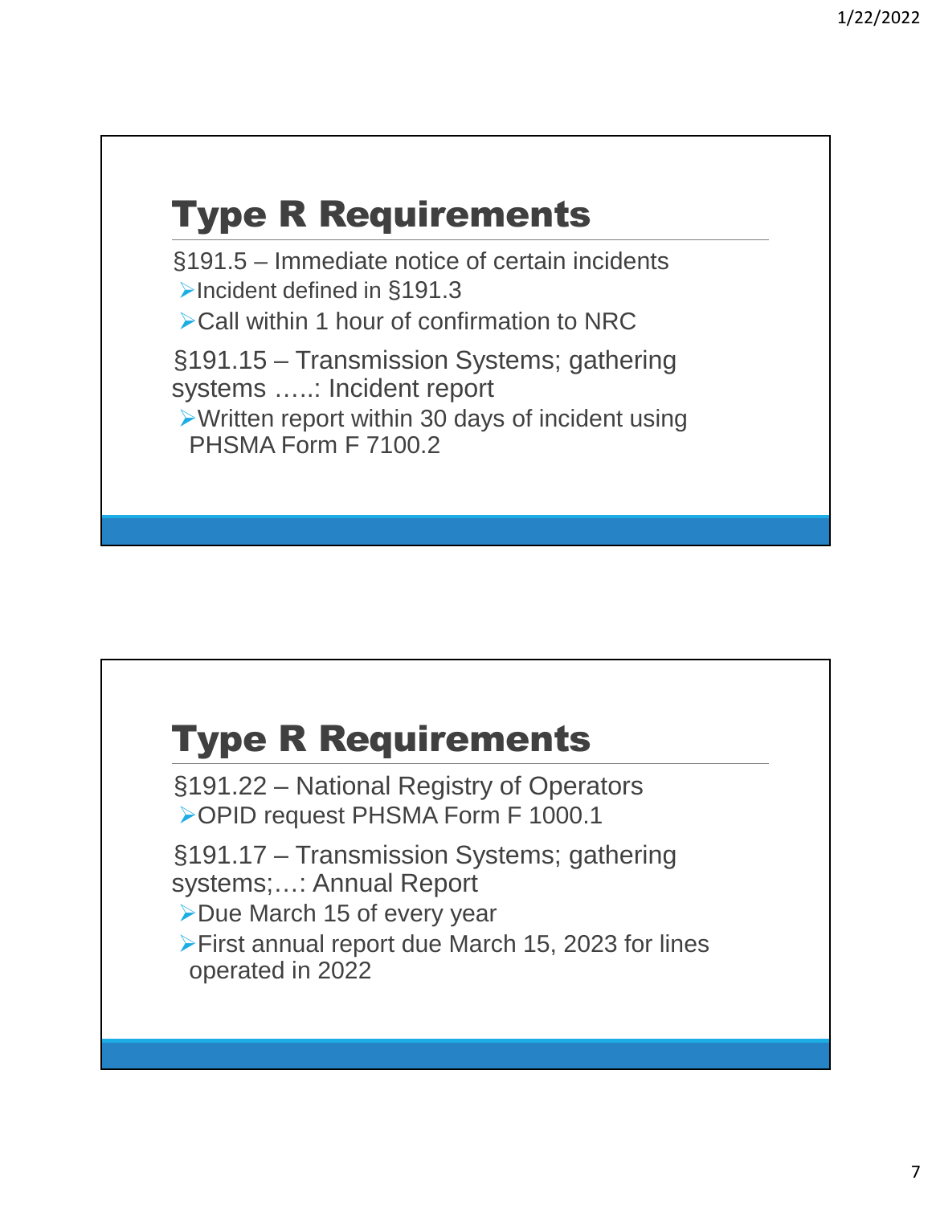#### Type R Requirements

 §191.5 – Immediate notice of certain incidents **▶Incident defined in §191.3** 

**≻Call within 1 hour of confirmation to NRC** 

 §191.15 – Transmission Systems; gathering systems …..: Incident report

Written report within 30 days of incident using PHSMA Form F 7100.2

#### Type R Requirements

 §191.22 – National Registry of Operators OPID request PHSMA Form F 1000.1

 §191.17 – Transmission Systems; gathering systems;…: Annual Report

**≻Due March 15 of every year** 

First annual report due March 15, 2023 for lines operated in 2022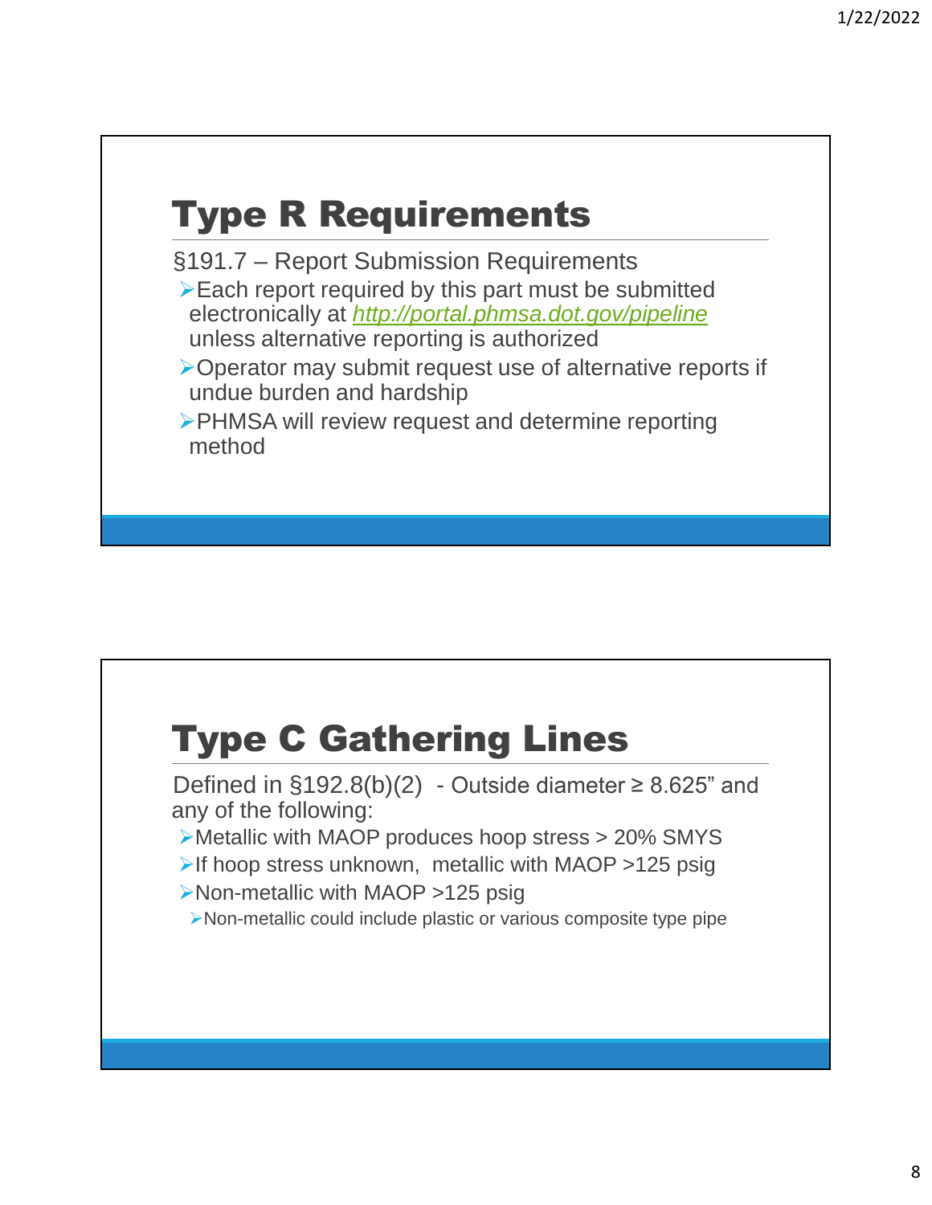#### Type R Requirements

 §191.7 – Report Submission Requirements  $\triangleright$  Each report required by this part must be submitted electronically at *http://portal.phmsa.dot.gov/pipeline* unless alternative reporting is authorized

- Operator may submit request use of alternative reports if undue burden and hardship
- PHMSA will review request and determine reporting method

#### Type C Gathering Lines

Defined in  $\S 192.8(b)(2)$  - Outside diameter  $\geq 8.625$ " and any of the following:

- Metallic with MAOP produces hoop stress > 20% SMYS
- If hoop stress unknown, metallic with MAOP >125 psig
- ▶Non-metallic with MAOP >125 psig
- Non-metallic could include plastic or various composite type pipe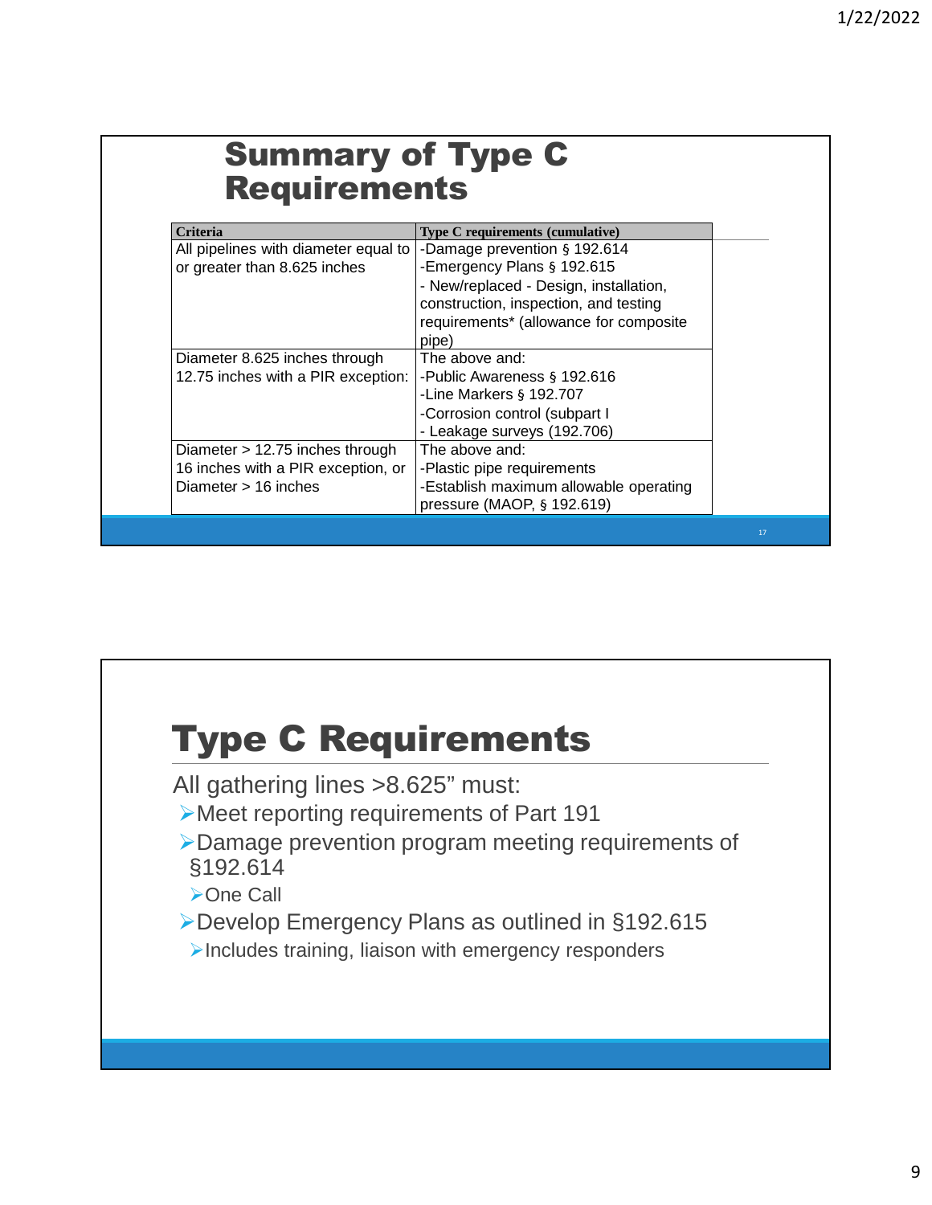| <b>Summary of Type C</b><br><b>Requirements</b> |                                        |  |
|-------------------------------------------------|----------------------------------------|--|
| <b>Criteria</b>                                 | Type C requirements (cumulative)       |  |
| All pipelines with diameter equal to            | -Damage prevention § 192.614           |  |
| or greater than 8.625 inches                    | -Emergency Plans § 192.615             |  |
|                                                 | - New/replaced - Design, installation, |  |
|                                                 | construction, inspection, and testing  |  |
|                                                 | requirements* (allowance for composite |  |
|                                                 | pipe)                                  |  |
| Diameter 8.625 inches through                   | The above and:                         |  |
| 12.75 inches with a PIR exception:              | -Public Awareness § 192.616            |  |
|                                                 | -Line Markers $§$ 192.707              |  |
|                                                 | -Corrosion control (subpart I          |  |
|                                                 | - Leakage surveys (192.706)            |  |
| Diameter $> 12.75$ inches through               | The above and:                         |  |
| 16 inches with a PIR exception, or              | -Plastic pipe requirements             |  |
| Diameter $> 16$ inches                          | -Establish maximum allowable operating |  |
|                                                 | pressure (MAOP, § 192.619)             |  |

#### Type C Requirements

All gathering lines >8.625" must:

- Meet reporting requirements of Part 191
- Damage prevention program meeting requirements of §192.614

>One Call

- Develop Emergency Plans as outlined in §192.615
- $\blacktriangleright$  Includes training, liaison with emergency responders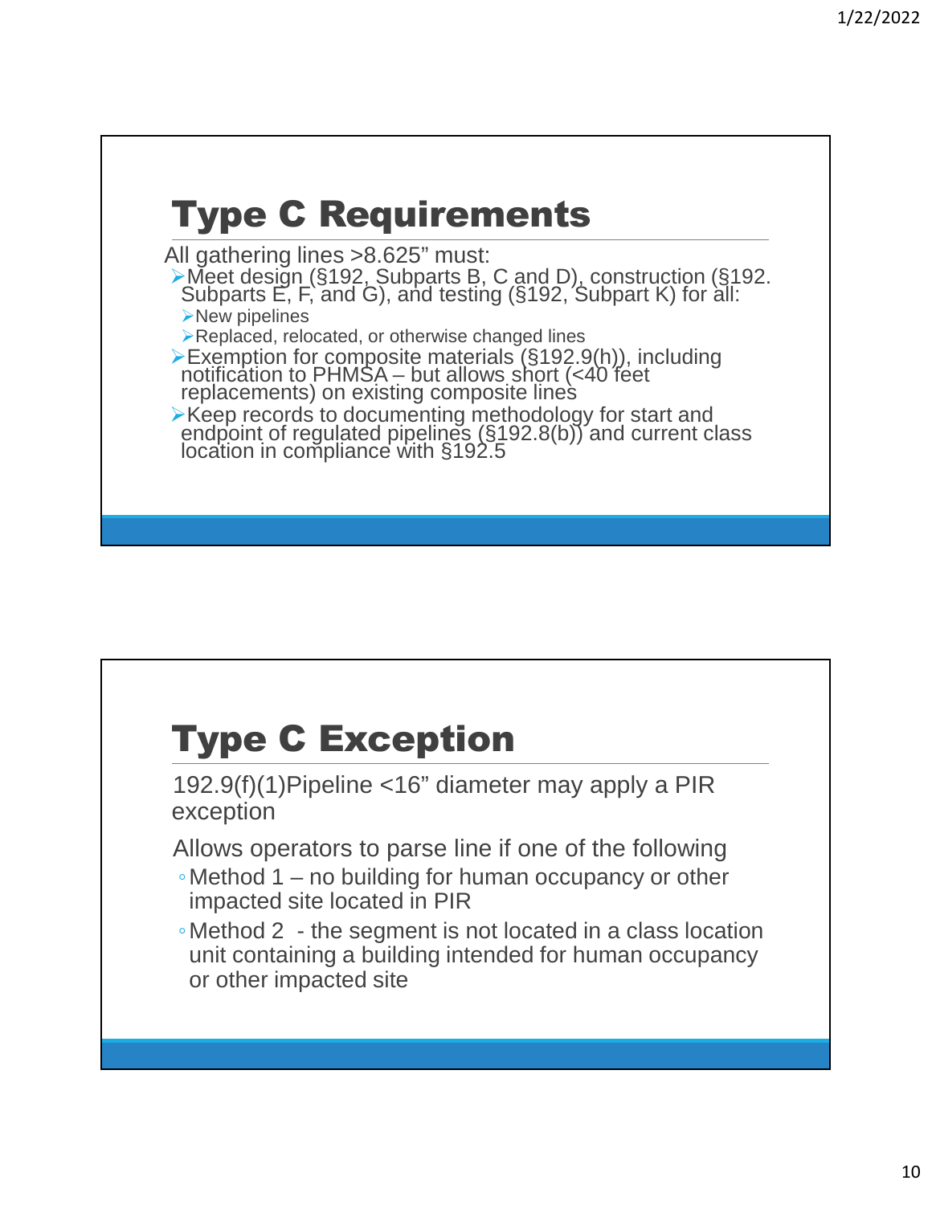# Type C Requirements

All gathering lines >8.625" must:

Meet design (§192, Subparts B, C and D), construction (§192. Subparts  $E$ ,  $F$ , and  $G$ ), and testing ( $\S$ 192, Subpart K) for all: **New pipelines** 

**Replaced, relocated, or otherwise changed lines** 

Exemption for composite materials (§192.9(h)), including notification to PHMSA – but allows short (<40 feet replacements) on existing composite lines

**EXECT** records to documenting methodology for start and endpoint of regulated pipelines  $(\S192.8(b))$  and current class location in compliance with §192.5

#### Type C Exception

192.9(f)(1)Pipeline <16" diameter may apply a PIR exception

- Allows operators to parse line if one of the following
- ◦Method 1 no building for human occupancy or other impacted site located in PIR
- ◦Method 2 the segment is not located in a class location unit containing a building intended for human occupancy or other impacted site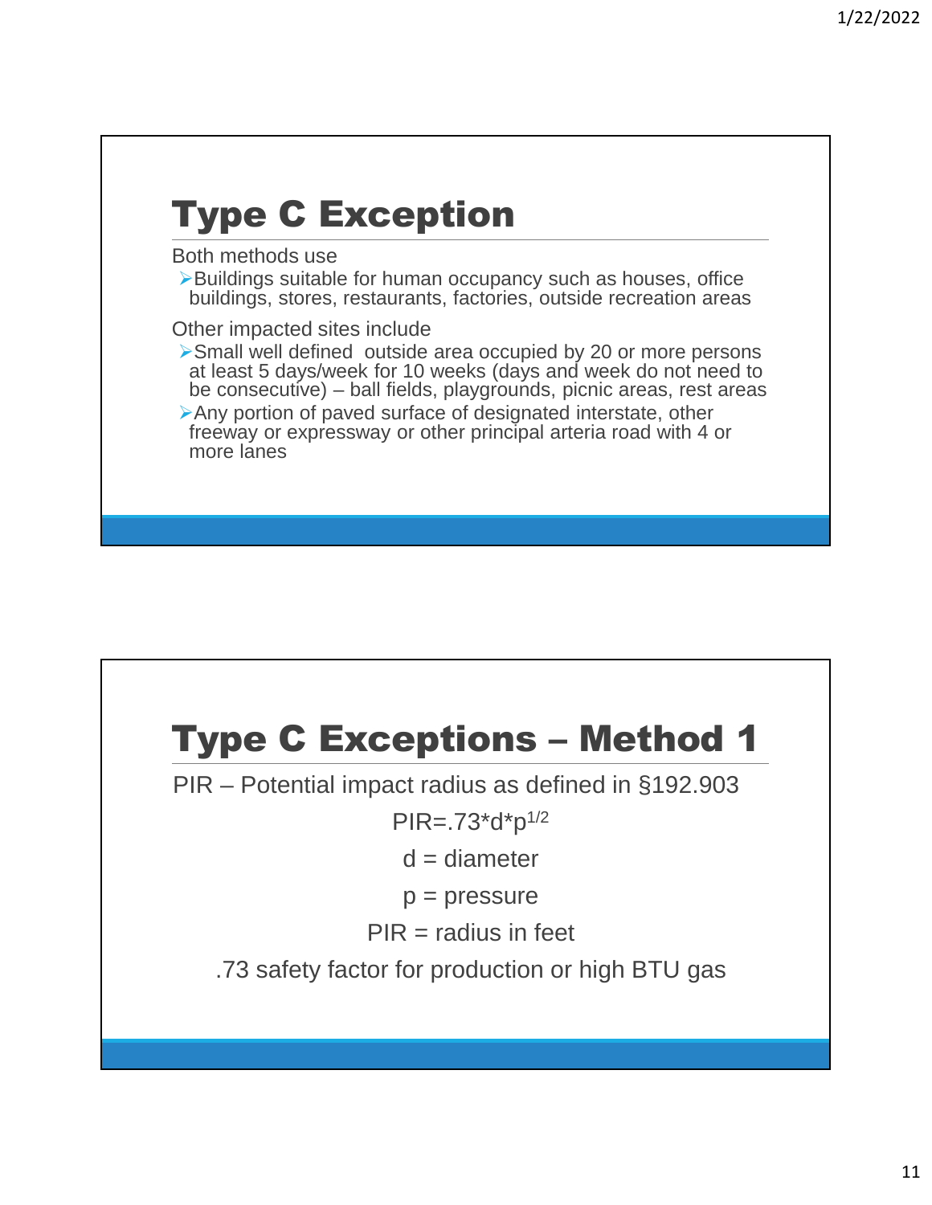# Type C Exception

Both methods use

▶Buildings suitable for human occupancy such as houses, office buildings, stores, restaurants, factories, outside recreation areas

Other impacted sites include

Small well defined outside area occupied by 20 or more persons at least 5 days/week for 10 weeks (days and week do not need to be consecutive) – ball fields, playgrounds, picnic areas, rest areas

Any portion of paved surface of designated interstate, other freeway or expressway or other principal arteria road with 4 or more lanes

## Type C Exceptions – Method 1

PIR – Potential impact radius as defined in §192.903

 $PIR = .73 * d * p^{1/2}$ 

 $d =$  diameter

 $p = pressure$ 

 $PIR =$  radius in feet

.73 safety factor for production or high BTU gas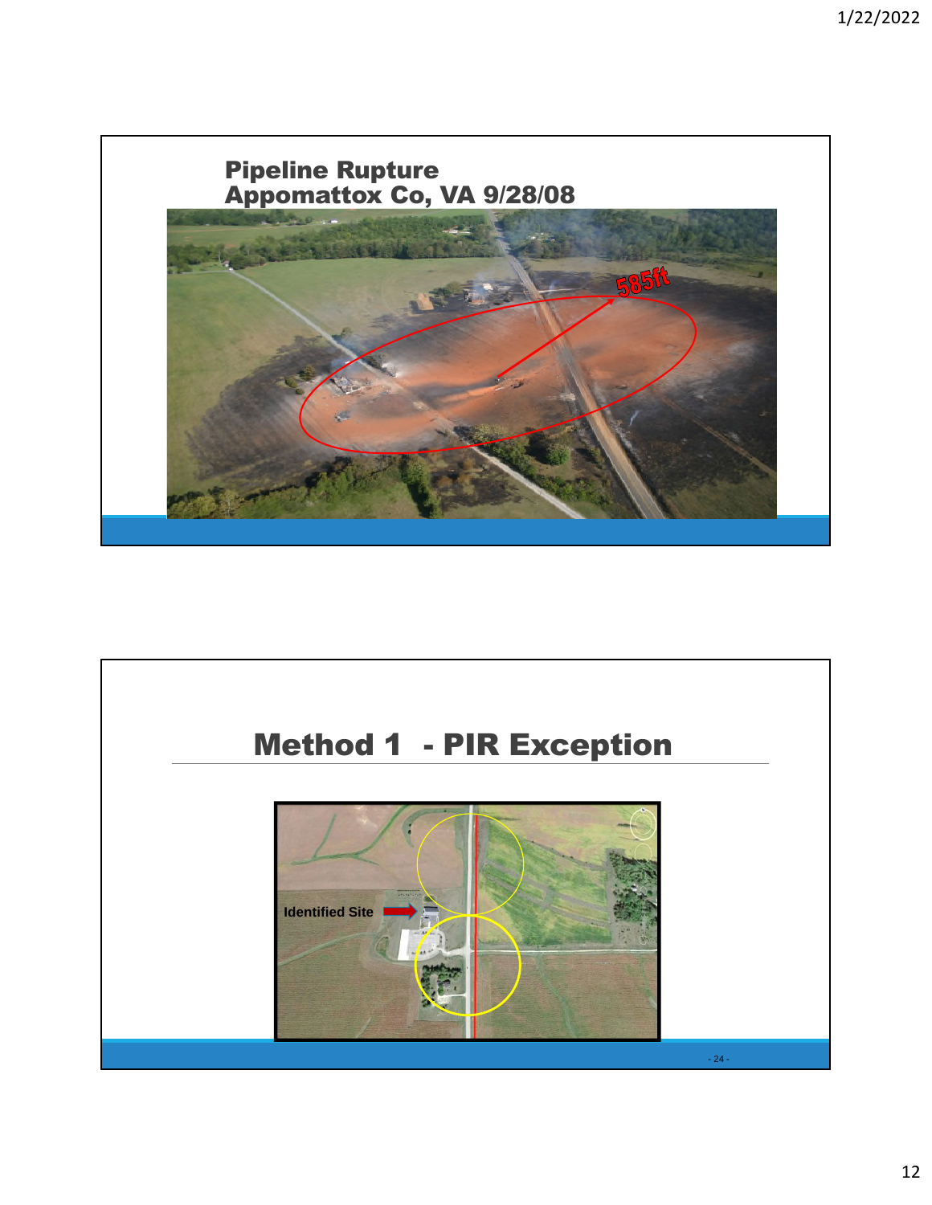

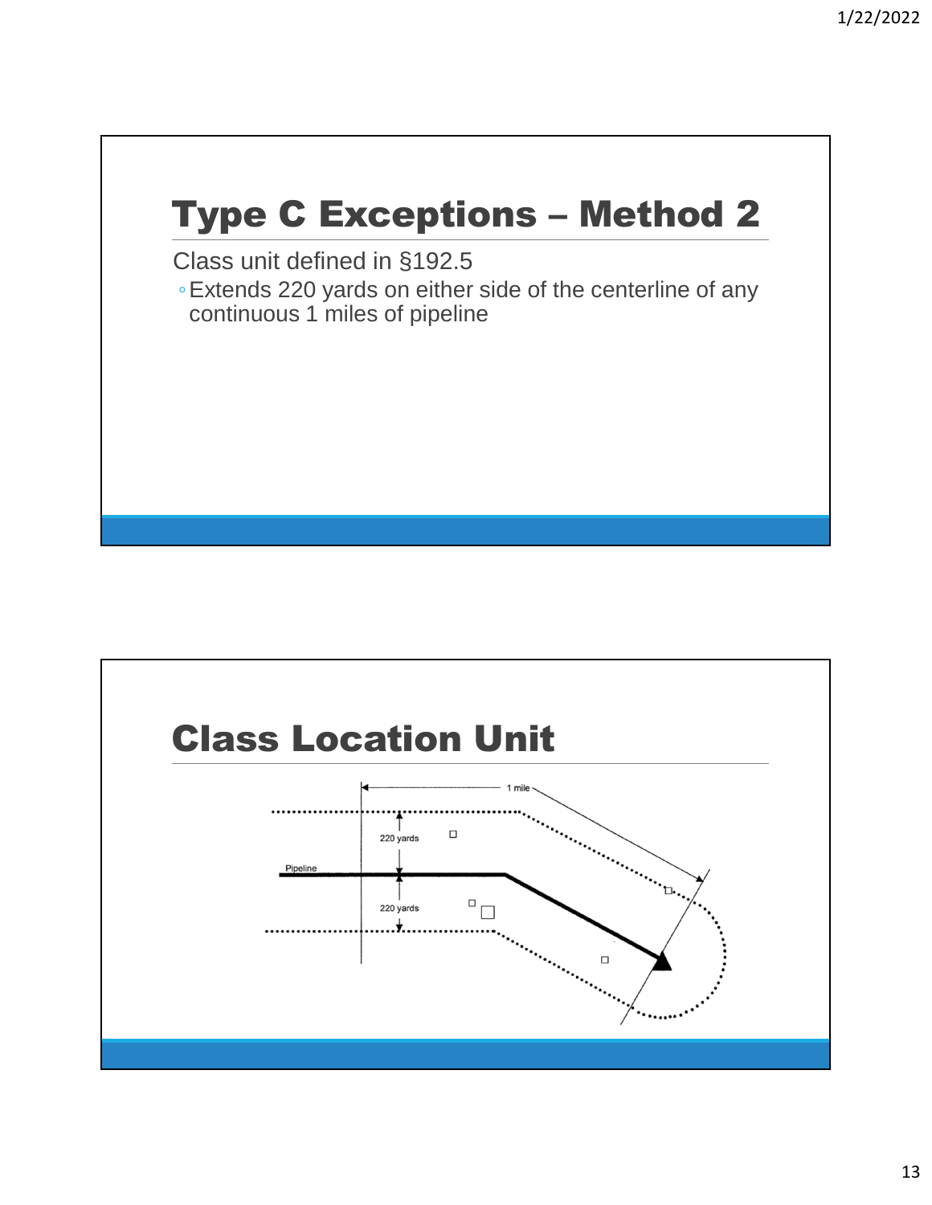## Type C Exceptions – Method 2

Class unit defined in §192.5

◦Extends 220 yards on either side of the centerline of any continuous 1 miles of pipeline

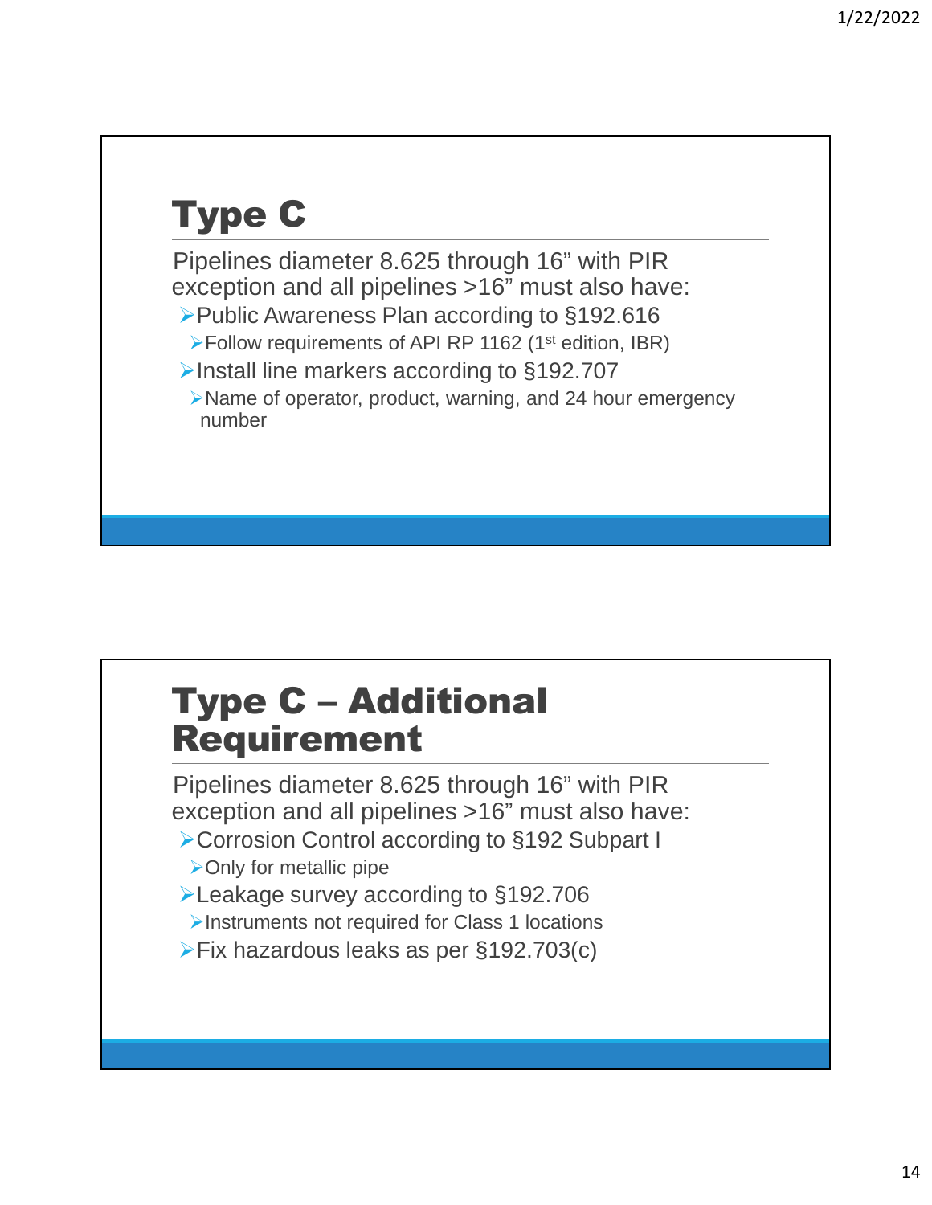# Type C

Pipelines diameter 8.625 through 16" with PIR exception and all pipelines >16" must also have: ▶ Public Awareness Plan according to §192.616 Follow requirements of API RP 1162 (1st edition, IBR) ▶Install line markers according to §192.707 Name of operator, product, warning, and 24 hour emergency number

#### Type C – Additional Requirement

Pipelines diameter 8.625 through 16" with PIR exception and all pipelines >16" must also have:

- ▶ Corrosion Control according to §192 Subpart I
- $\triangleright$  Only for metallic pipe
- Leakage survey according to §192.706
- Instruments not required for Class 1 locations
- Fix hazardous leaks as per §192.703(c)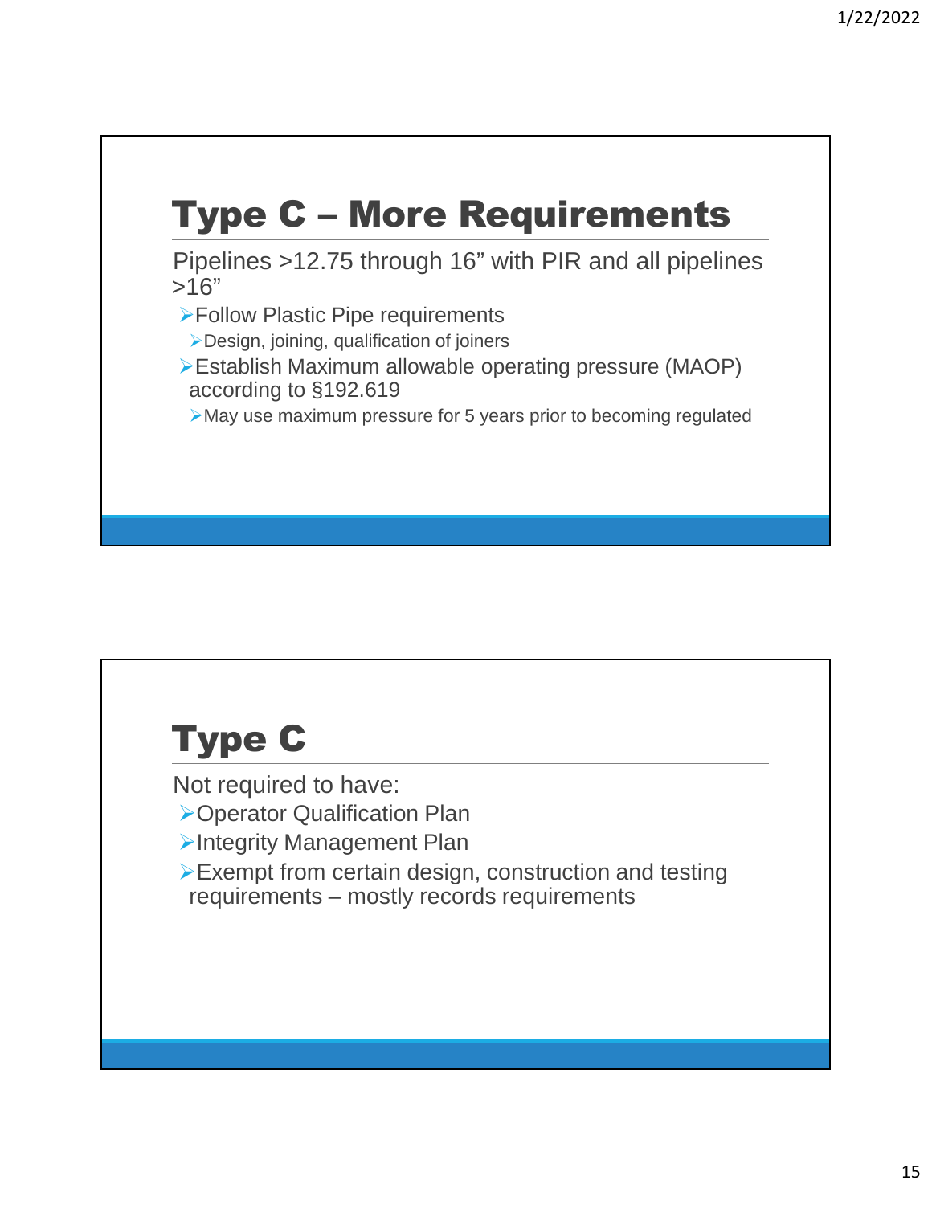## Type C – More Requirements

Pipelines >12.75 through 16" with PIR and all pipelines  $>16"$ 

Follow Plastic Pipe requirements

Design, joining, qualification of joiners

Establish Maximum allowable operating pressure (MAOP) according to §192.619

May use maximum pressure for 5 years prior to becoming regulated

#### Type C

Not required to have:

Operator Qualification Plan

**>Integrity Management Plan** 

Exempt from certain design, construction and testing requirements – mostly records requirements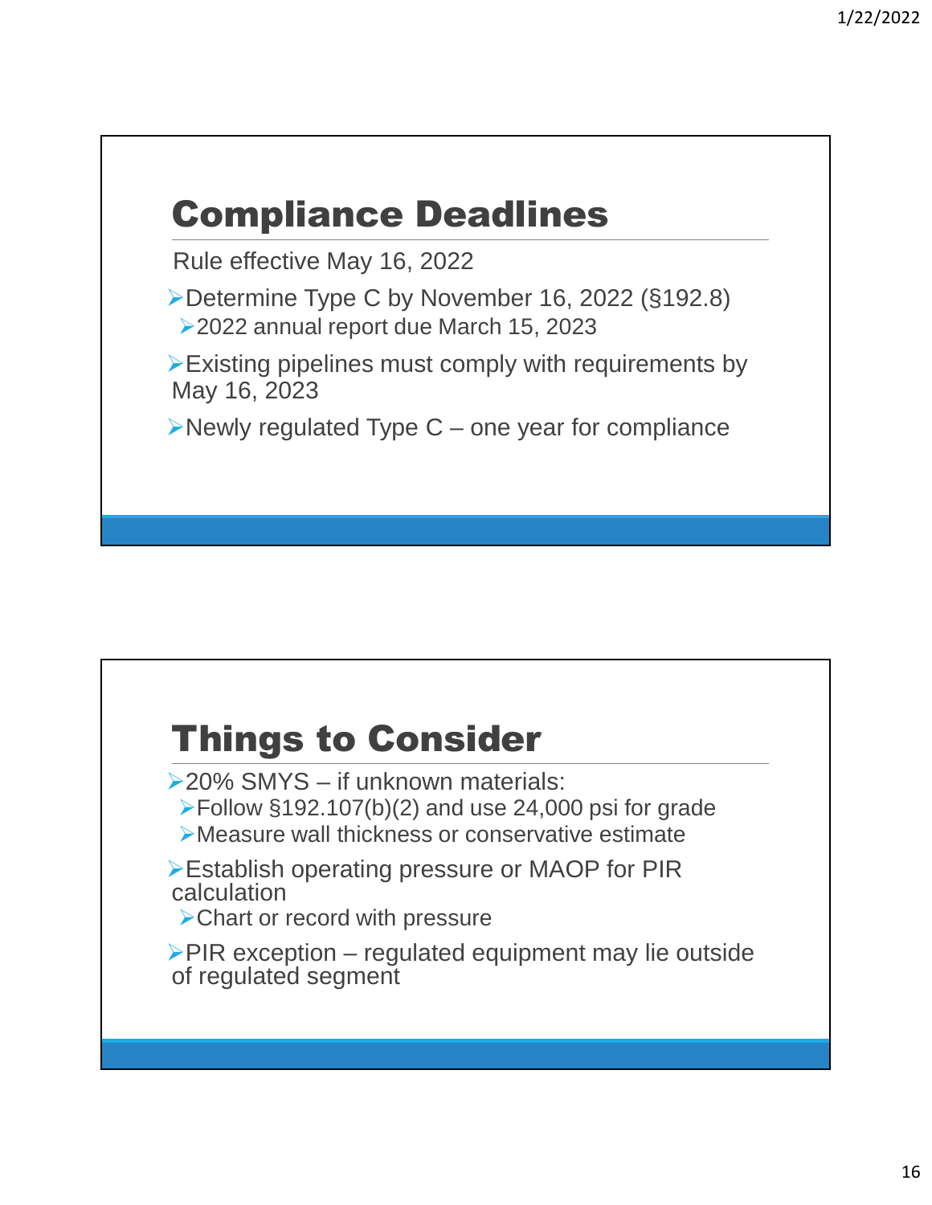#### Compliance Deadlines

Rule effective May 16, 2022

Determine Type C by November 16, 2022 (§192.8) 2022 annual report due March 15, 2023

Existing pipelines must comply with requirements by May 16, 2023

 $\triangleright$  Newly regulated Type C – one year for compliance

#### Things to Consider

20% SMYS – if unknown materials:

- Follow §192.107(b)(2) and use 24,000 psi for grade
- Measure wall thickness or conservative estimate

Establish operating pressure or MAOP for PIR calculation

Chart or record with pressure

 $\triangleright$  PIR exception – regulated equipment may lie outside of regulated segment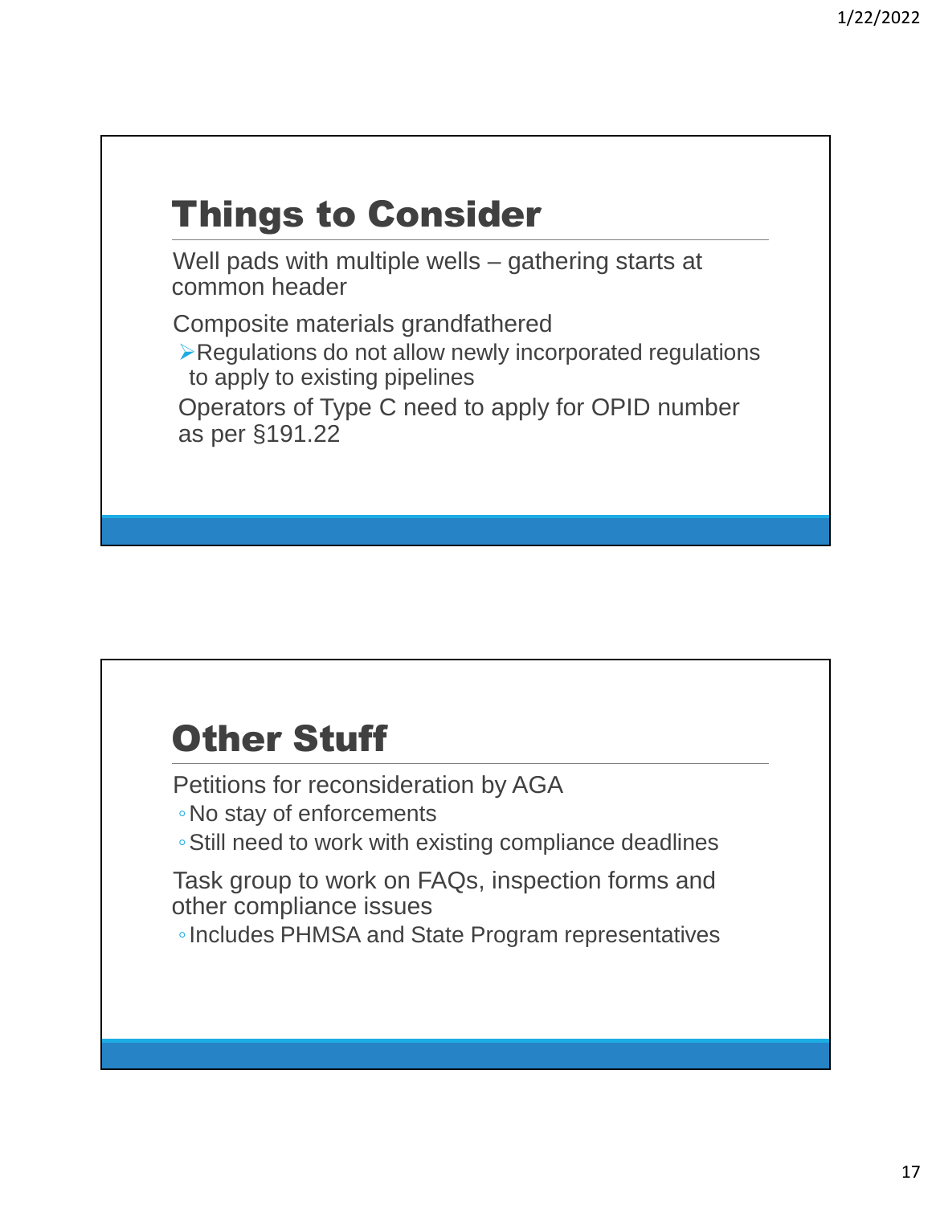# Things to Consider

Well pads with multiple wells – gathering starts at common header

Composite materials grandfathered

Regulations do not allow newly incorporated regulations to apply to existing pipelines

Operators of Type C need to apply for OPID number as per §191.22

#### Other Stuff

Petitions for reconsideration by AGA

◦No stay of enforcements

◦Still need to work with existing compliance deadlines

Task group to work on FAQs, inspection forms and other compliance issues

◦Includes PHMSA and State Program representatives